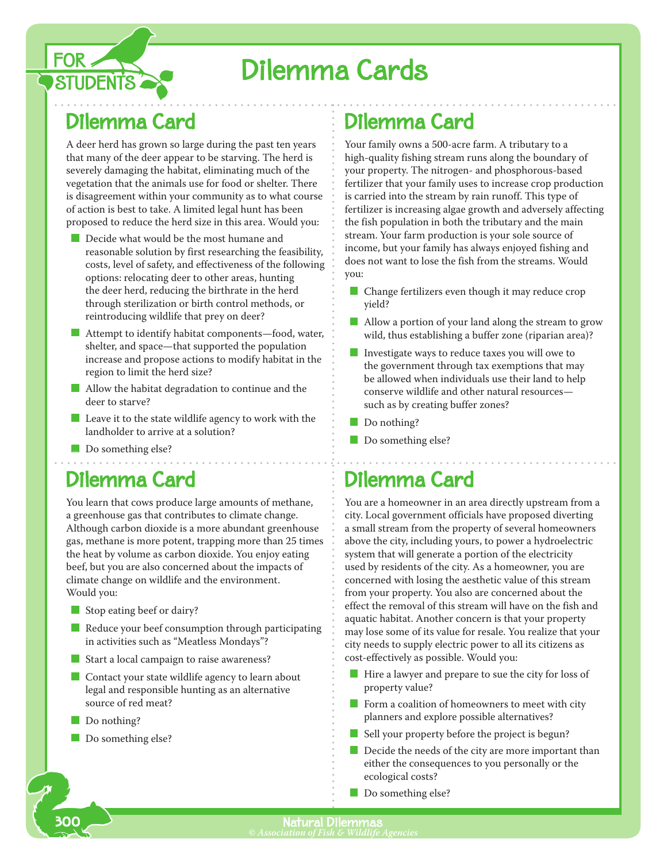# Dilemma Card

FOR

**STUDENTS** 

A deer herd has grown so large during the past ten years that many of the deer appear to be starving. The herd is severely damaging the habitat, eliminating much of the vegetation that the animals use for food or shelter. There is disagreement within your community as to what course of action is best to take. A limited legal hunt has been proposed to reduce the herd size in this area. Would you:

- Decide what would be the most humane and reasonable solution by first researching the feasibility, costs, level of safety, and effectiveness of the following options: relocating deer to other areas, hunting the deer herd, reducing the birthrate in the herd through sterilization or birth control methods, or reintroducing wildlife that prey on deer?
- Attempt to identify habitat components-food, water, shelter, and space—that supported the population increase and propose actions to modify habitat in the region to limit the herd size?
- $\blacksquare$  Allow the habitat degradation to continue and the deer to starve?
- $\blacksquare$  Leave it to the state wildlife agency to work with the landholder to arrive at a solution?

Do something else?

# Dilemma Card

You learn that cows produce large amounts of methane, a greenhouse gas that contributes to climate change. Although carbon dioxide is a more abundant greenhouse gas, methane is more potent, trapping more than 25 times the heat by volume as carbon dioxide. You enjoy eating beef, but you are also concerned about the impacts of climate change on wildlife and the environment. Would you:

- Stop eating beef or dairy?
- $\blacksquare$  Reduce your beef consumption through participating in activities such as "Meatless Mondays"?
- Start a local campaign to raise awareness?
- $\blacksquare$  Contact your state wildlife agency to learn about legal and responsible hunting as an alternative source of red meat?
- Do nothing?
- $\Box$  Do something else?

# Dilemma Card

Your family owns a 500-acre farm. A tributary to a high-quality fishing stream runs along the boundary of your property. The nitrogen- and phosphorous-based fertilizer that your family uses to increase crop production is carried into the stream by rain runoff. This type of fertilizer is increasing algae growth and adversely affecting the fish population in both the tributary and the main stream. Your farm production is your sole source of income, but your family has always enjoyed fishing and does not want to lose the fish from the streams. Would you:

- $\blacksquare$  Change fertilizers even though it may reduce crop yield?
- Allow a portion of your land along the stream to grow wild, thus establishing a buffer zone (riparian area)?
- Investigate ways to reduce taxes you will owe to the government through tax exemptions that may be allowed when individuals use their land to help conserve wildlife and other natural resources such as by creating buffer zones?
- $\Box$  Do nothing?
- Do something else?

# Dilemma Card

You are a homeowner in an area directly upstream from a city. Local government officials have proposed diverting a small stream from the property of several homeowners above the city, including yours, to power a hydroelectric system that will generate a portion of the electricity used by residents of the city. As a homeowner, you are concerned with losing the aesthetic value of this stream from your property. You also are concerned about the effect the removal of this stream will have on the fish and aquatic habitat. Another concern is that your property may lose some of its value for resale. You realize that your city needs to supply electric power to all its citizens as cost-effectively as possible. Would you:

- $\blacksquare$  Hire a lawyer and prepare to sue the city for loss of property value?
- Form a coalition of homeowners to meet with city planners and explore possible alternatives?
- $\blacksquare$  Sell your property before the project is begun?
- $\blacksquare$  Decide the needs of the city are more important than either the consequences to you personally or the ecological costs?
- Do something else?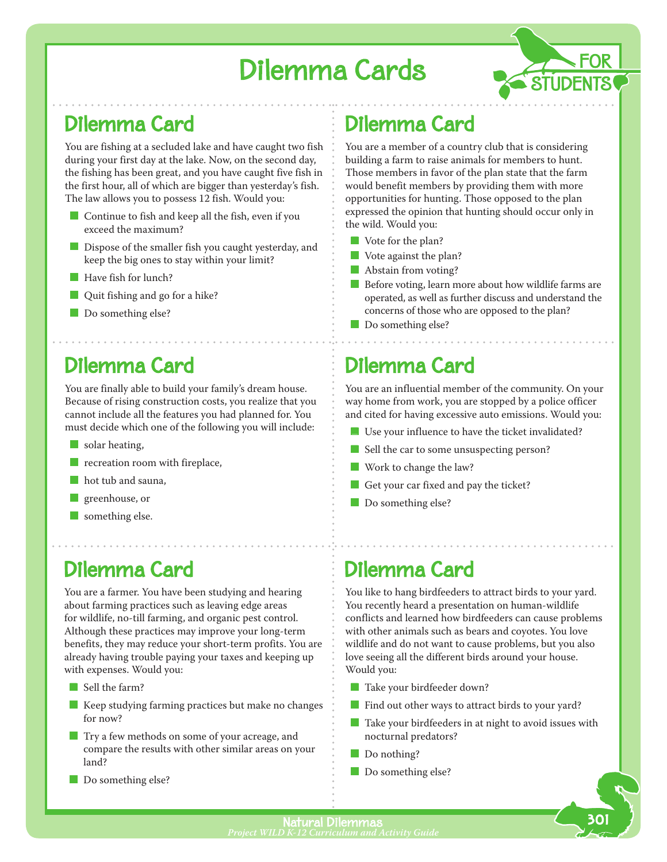

# Dilemma Card

You are fishing at a secluded lake and have caught two fish during your first day at the lake. Now, on the second day, the fishing has been great, and you have caught five fish in the first hour, all of which are bigger than yesterday's fish. The law allows you to possess 12 fish. Would you:

- Continue to fish and keep all the fish, even if you exceed the maximum?
- $\blacksquare$  Dispose of the smaller fish you caught yesterday, and keep the big ones to stay within your limit?
- **Have fish for lunch?**
- $\Box$  Quit fishing and go for a hike?
- Do something else?

### Dilemma Card

You are finally able to build your family's dream house. Because of rising construction costs, you realize that you cannot include all the features you had planned for. You must decide which one of the following you will include:

- solar heating,
- $\blacksquare$  recreation room with fireplace,
- $\blacksquare$  hot tub and sauna,
- greenhouse, or
- $\blacksquare$  something else.

# Dilemma Card Dilemma Card

You are a farmer. You have been studying and hearing about farming practices such as leaving edge areas for wildlife, no-till farming, and organic pest control. Although these practices may improve your long-term benefits, they may reduce your short-term profits. You are already having trouble paying your taxes and keeping up with expenses. Would you:

- Sell the farm?
- Keep studying farming practices but make no changes for now?
- **n** Try a few methods on some of your acreage, and compare the results with other similar areas on your land?
- Do something else?

# Dilemma Card

You are a member of a country club that is considering building a farm to raise animals for members to hunt. Those members in favor of the plan state that the farm would benefit members by providing them with more opportunities for hunting. Those opposed to the plan expressed the opinion that hunting should occur only in the wild. Would you:

- $\blacksquare$  Vote for the plan?
- $\blacksquare$  Vote against the plan?
- Abstain from voting?
- $\blacksquare$  Before voting, learn more about how wildlife farms are operated, as well as further discuss and understand the concerns of those who are opposed to the plan?
- $\Box$  Do something else?

#### Dilemma Card

You are an influential member of the community. On your way home from work, you are stopped by a police officer and cited for having excessive auto emissions. Would you:

- $\blacksquare$  Use your influence to have the ticket invalidated?
- Sell the car to some unsuspecting person?
- $\blacksquare$  Work to change the law?
- $\blacksquare$  Get your car fixed and pay the ticket?
- Do something else?

You like to hang birdfeeders to attract birds to your yard. You recently heard a presentation on human-wildlife conflicts and learned how birdfeeders can cause problems with other animals such as bears and coyotes. You love wildlife and do not want to cause problems, but you also love seeing all the different birds around your house. Would you:

- Take your birdfeeder down?
- $\blacksquare$  Find out other ways to attract birds to your yard?
- $\blacksquare$  Take your birdfeeders in at night to avoid issues with nocturnal predators?
- $\Box$  Do nothing?
- Do something else?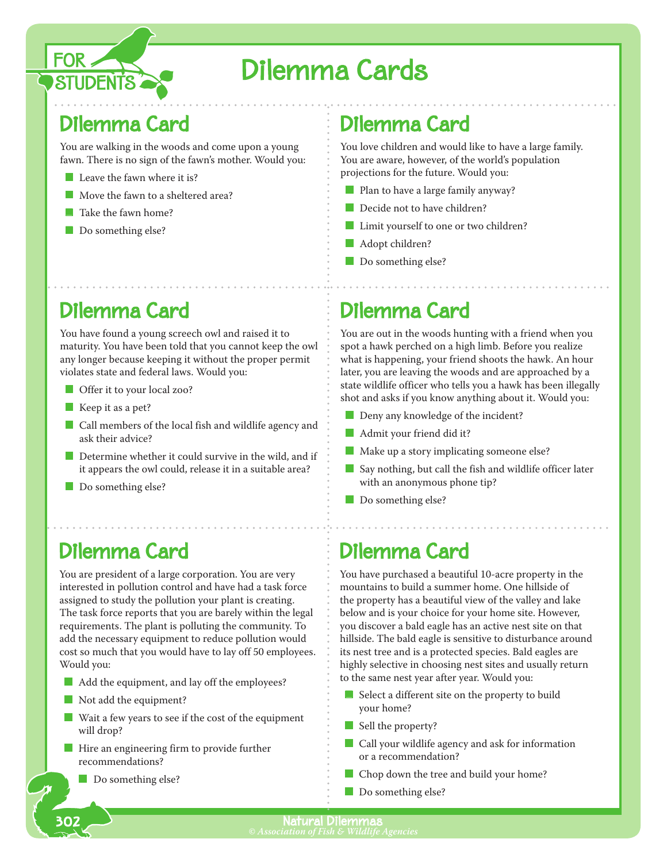## Dilemma Card

FOR

**STUDENTS** 

You are walking in the woods and come upon a young fawn. There is no sign of the fawn's mother. Would you:

- $\blacksquare$  Leave the fawn where it is?
- Move the fawn to a sheltered area?
- $\blacksquare$  Take the fawn home?
- Do something else?

### Dilemma Card

You love children and would like to have a large family. You are aware, however, of the world's population projections for the future. Would you:

- **n** Plan to have a large family anyway?
- Decide not to have children?
- **n** Limit yourself to one or two children?
- $\blacksquare$  Adopt children?
- $\Box$  Do something else?

#### Dilemma Card

You have found a young screech owl and raised it to maturity. You have been told that you cannot keep the owl any longer because keeping it without the proper permit violates state and federal laws. Would you:

- Offer it to your local zoo?
- $\blacksquare$  Keep it as a pet?
- Call members of the local fish and wildlife agency and ask their advice?
- Determine whether it could survive in the wild, and if it appears the owl could, release it in a suitable area?
- $\blacksquare$  Do something else?

### Dilemma Card Dilemma Card

You are president of a large corporation. You are very interested in pollution control and have had a task force assigned to study the pollution your plant is creating. The task force reports that you are barely within the legal requirements. The plant is polluting the community. To add the necessary equipment to reduce pollution would cost so much that you would have to lay off 50 employees. Would you:

- Add the equipment, and lay off the employees?
- $\blacksquare$  Not add the equipment?
- $\blacksquare$  Wait a few years to see if the cost of the equipment will drop?
- $\blacksquare$  Hire an engineering firm to provide further recommendations?
	- Do something else?

302

#### Dilemma Card

You are out in the woods hunting with a friend when you spot a hawk perched on a high limb. Before you realize what is happening, your friend shoots the hawk. An hour later, you are leaving the woods and are approached by a state wildlife officer who tells you a hawk has been illegally shot and asks if you know anything about it. Would you:

- $\blacksquare$  Deny any knowledge of the incident?
- Admit your friend did it?
- $\blacksquare$  Make up a story implicating someone else?
- $\blacksquare$  Say nothing, but call the fish and wildlife officer later with an anonymous phone tip?
- Do something else?

You have purchased a beautiful 10-acre property in the mountains to build a summer home. One hillside of the property has a beautiful view of the valley and lake below and is your choice for your home site. However, you discover a bald eagle has an active nest site on that hillside. The bald eagle is sensitive to disturbance around its nest tree and is a protected species. Bald eagles are highly selective in choosing nest sites and usually return to the same nest year after year. Would you:

- $\blacksquare$  Select a different site on the property to build your home?
- $\blacksquare$  Sell the property?
- $\Box$  Call your wildlife agency and ask for information or a recommendation?
- Chop down the tree and build your home?
- $\Box$  Do something else?

latural Dilemm